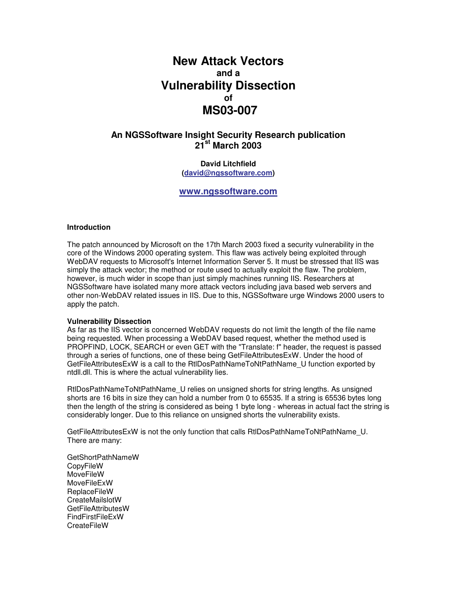# **New Attack Vectors and a Vulnerability Dissection of MS03-007**

## **An NGSSoftware Insight Security Research publication 21 st March 2003**

**David Litchfield (david@ngssoftware.com)**

**www.ngssoftware.com**

#### **Introduction**

The patch announced by Microsoft on the 17th March 2003 fixed a security vulnerability in the core of the Windows 2000 operating system. This flaw was actively being exploited through WebDAV requests to Microsoft's Internet Information Server 5. It must be stressed that IIS was simply the attack vector; the method or route used to actually exploit the flaw. The problem, however, is much wider in scope than just simply machines running IIS. Researchers at NGSSoftware have isolated many more attack vectors including java based web servers and other non-WebDAV related issues in IIS. Due to this, NGSSoftware urge Windows 2000 users to apply the patch.

#### **Vulnerability Dissection**

As far as the IIS vector is concerned WebDAV requests do not limit the length of the file name being requested. When processing a WebDAV based request, whether the method used is PROPFIND, LOCK, SEARCH or even GET with the "Translate: f" header, the request is passed through a series of functions, one of these being GetFileAttributesExW. Under the hood of GetFileAttributesExW is a call to the RtlDosPathNameToNtPathName\_U function exported by ntdll.dll. This is where the actual vulnerability lies.

RtlDosPathNameToNtPathName\_U relies on unsigned shorts for string lengths. As unsigned shorts are 16 bits in size they can hold a number from 0 to 65535. If a string is 65536 bytes long then the length of the string is considered as being 1 byte long - whereas in actual fact the string is considerably longer. Due to this reliance on unsigned shorts the vulnerability exists.

GetFileAttributesExW is not the only function that calls RtlDosPathNameToNtPathName\_U. There are many:

GetShortPathNameW CopyFileW MoveFileW MoveFileExW ReplaceFileW **CreateMailslotW** GetFileAttributesW FindFirstFileExW **CreateFileW**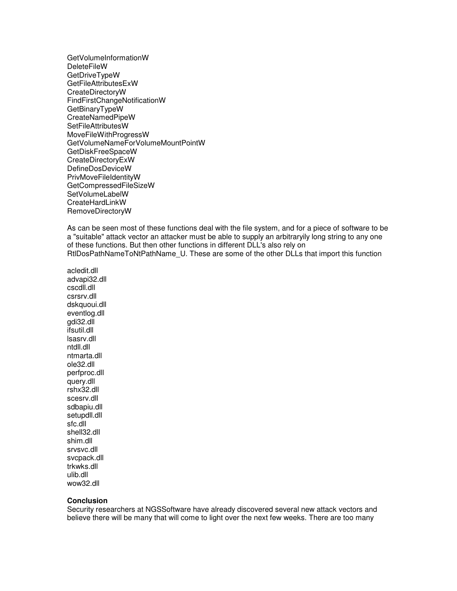GetVolumeInformationW **DeleteFileW** GetDriveTypeW GetFileAttributesExW CreateDirectoryW FindFirstChangeNotificationW GetBinaryTypeW CreateNamedPipeW SetFileAttributesW MoveFileWithProgressW GetVolumeNameForVolumeMountPointW GetDiskFreeSpaceW CreateDirectoryExW DefineDosDeviceW PrivMoveFileIdentityW GetCompressedFileSizeW SetVolumeLabelW CreateHardLinkW RemoveDirectoryW

As can be seen most of these functions deal with the file system, and for a piece of software to be a "suitable" attack vector an attacker must be able to supply an arbitraryily long string to any one of these functions. But then other functions in different DLL's also rely on RtlDosPathNameToNtPathName\_U. These are some of the other DLLs that import this function

acledit.dll advapi32.dll cscdll.dll csrsrv.dll dskquoui.dll eventlog.dll gdi32.dll ifsutil.dll lsasrv.dll ntdll.dll ntmarta.dll ole32.dll perfproc.dll query.dll rshx32.dll scesrv.dll sdbapiu.dll setupdll.dll sfc.dll shell32.dll shim.dll srvsvc.dll svcpack.dll trkwks.dll ulib.dll wow32.dll

#### **Conclusion**

Security researchers at NGSSoftware have already discovered several new attack vectors and believe there will be many that will come to light over the next few weeks. There are too many